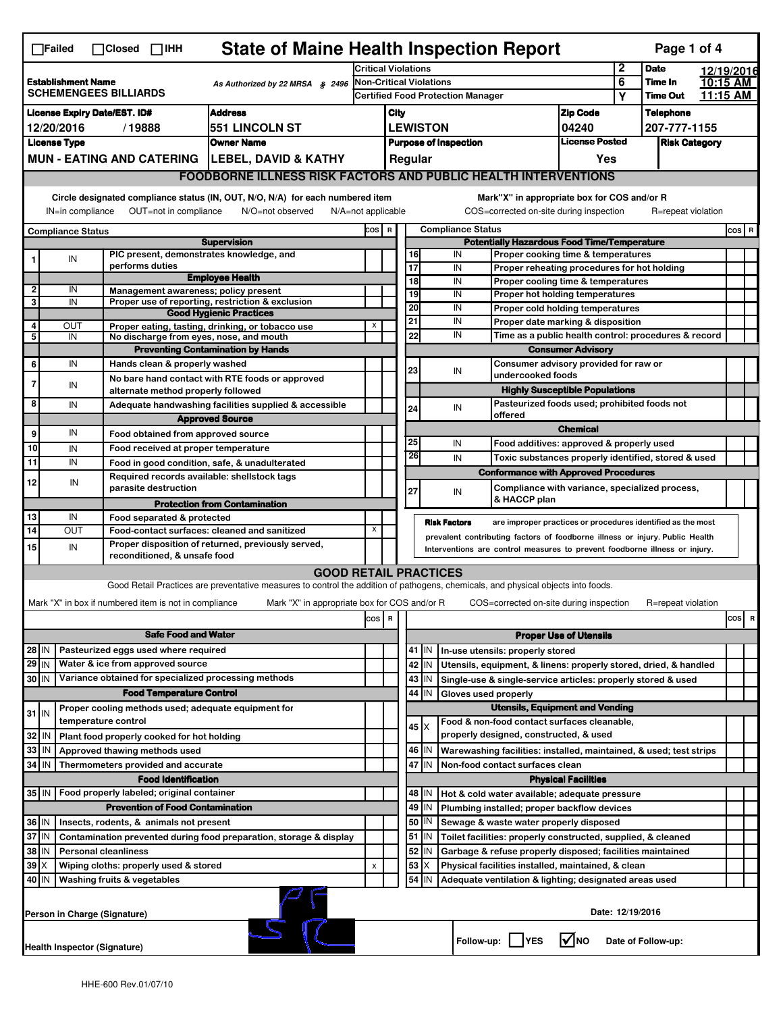|                                                                                              | <b>State of Maine Health Inspection Report</b><br>Page 1 of 4<br>$\Box$ Failed<br>$\Box$ Closed $\Box$ IHH                                                                                                                                                                                |                                                                            |                                                                                                                                                                                                                                                                  |                                                                  |                                                  |                                          |                               |                                                                                       |                                                                                   |                                       |             |                    |  |            |
|----------------------------------------------------------------------------------------------|-------------------------------------------------------------------------------------------------------------------------------------------------------------------------------------------------------------------------------------------------------------------------------------------|----------------------------------------------------------------------------|------------------------------------------------------------------------------------------------------------------------------------------------------------------------------------------------------------------------------------------------------------------|------------------------------------------------------------------|--------------------------------------------------|------------------------------------------|-------------------------------|---------------------------------------------------------------------------------------|-----------------------------------------------------------------------------------|---------------------------------------|-------------|--------------------|--|------------|
|                                                                                              |                                                                                                                                                                                                                                                                                           |                                                                            |                                                                                                                                                                                                                                                                  | <b>Critical Violations</b>                                       |                                                  |                                          |                               |                                                                                       |                                                                                   |                                       | $\mathbf 2$ | <b>Date</b>        |  | 12/19/2016 |
| <b>Establishment Name</b><br>As Authorized by 22 MRSA § 2496<br><b>SCHEMENGEES BILLIARDS</b> |                                                                                                                                                                                                                                                                                           |                                                                            | Non-Critical Violations                                                                                                                                                                                                                                          |                                                                  |                                                  |                                          |                               |                                                                                       | 6                                                                                 | Time In                               |             | 10:15 AM           |  |            |
|                                                                                              |                                                                                                                                                                                                                                                                                           |                                                                            |                                                                                                                                                                                                                                                                  |                                                                  |                                                  | <b>Certified Food Protection Manager</b> |                               |                                                                                       |                                                                                   |                                       | Υ           | <b>Time Out</b>    |  | 11:15 AM   |
| <b>Address</b><br><b>License Expiry Date/EST. ID#</b>                                        |                                                                                                                                                                                                                                                                                           |                                                                            |                                                                                                                                                                                                                                                                  |                                                                  | <b>Zip Code</b><br>City                          |                                          |                               |                                                                                       |                                                                                   | <b>Telephone</b>                      |             |                    |  |            |
| <b>551 LINCOLN ST</b><br>12/20/2016<br>/19888                                                |                                                                                                                                                                                                                                                                                           |                                                                            |                                                                                                                                                                                                                                                                  | <b>LEWISTON</b><br>04240                                         |                                                  |                                          |                               | 207-777-1155                                                                          |                                                                                   |                                       |             |                    |  |            |
| <b>License Type</b><br><b>Owner Name</b>                                                     |                                                                                                                                                                                                                                                                                           |                                                                            |                                                                                                                                                                                                                                                                  | <b>License Posted</b><br><b>Purpose of Inspection</b><br>Regular |                                                  |                                          |                               | <b>Risk Category</b>                                                                  |                                                                                   |                                       |             |                    |  |            |
|                                                                                              | MUN - EATING AND CATERING   LEBEL, DAVID & KATHY                                                                                                                                                                                                                                          |                                                                            |                                                                                                                                                                                                                                                                  |                                                                  |                                                  |                                          |                               |                                                                                       |                                                                                   | Yes                                   |             |                    |  |            |
|                                                                                              | <b>FOODBORNE ILLNESS RISK FACTORS AND PUBLIC HEALTH INTERVENTIONS</b>                                                                                                                                                                                                                     |                                                                            |                                                                                                                                                                                                                                                                  |                                                                  |                                                  |                                          |                               |                                                                                       |                                                                                   |                                       |             |                    |  |            |
|                                                                                              | Circle designated compliance status (IN, OUT, N/O, N/A) for each numbered item<br>Mark"X" in appropriate box for COS and/or R<br>OUT=not in compliance<br>COS=corrected on-site during inspection<br>IN=in compliance<br>N/O=not observed<br>$N/A = not$ applicable<br>R=repeat violation |                                                                            |                                                                                                                                                                                                                                                                  |                                                                  |                                                  |                                          |                               |                                                                                       |                                                                                   |                                       |             |                    |  |            |
| <b>Compliance Status</b>                                                                     |                                                                                                                                                                                                                                                                                           |                                                                            |                                                                                                                                                                                                                                                                  |                                                                  | <b>Compliance Status</b><br>cos  <br>$\mathbf R$ |                                          |                               |                                                                                       |                                                                                   |                                       |             |                    |  | COS R      |
|                                                                                              |                                                                                                                                                                                                                                                                                           |                                                                            | <b>Supervision</b>                                                                                                                                                                                                                                               |                                                                  |                                                  |                                          |                               | IN                                                                                    | <b>Potentially Hazardous Food Time/Temperature</b>                                |                                       |             |                    |  |            |
|                                                                                              | IN                                                                                                                                                                                                                                                                                        | PIC present, demonstrates knowledge, and<br>performs duties                |                                                                                                                                                                                                                                                                  |                                                                  |                                                  |                                          | 16<br>17                      | IN                                                                                    | Proper cooking time & temperatures<br>Proper reheating procedures for hot holding |                                       |             |                    |  |            |
|                                                                                              |                                                                                                                                                                                                                                                                                           |                                                                            | <b>Employee Health</b>                                                                                                                                                                                                                                           |                                                                  |                                                  |                                          | $\overline{18}$               | IN                                                                                    | Proper cooling time & temperatures                                                |                                       |             |                    |  |            |
| $\overline{\mathbf{2}}$                                                                      | IN                                                                                                                                                                                                                                                                                        | Management awareness: policy present                                       |                                                                                                                                                                                                                                                                  |                                                                  |                                                  |                                          | 19                            | IN                                                                                    | Proper hot holding temperatures                                                   |                                       |             |                    |  |            |
| 3                                                                                            | IN                                                                                                                                                                                                                                                                                        |                                                                            | Proper use of reporting, restriction & exclusion<br><b>Good Hygienic Practices</b>                                                                                                                                                                               |                                                                  |                                                  |                                          | 20                            | IN                                                                                    | Proper cold holding temperatures                                                  |                                       |             |                    |  |            |
| 4                                                                                            | OUT                                                                                                                                                                                                                                                                                       |                                                                            | Proper eating, tasting, drinking, or tobacco use                                                                                                                                                                                                                 | X                                                                |                                                  | 21                                       |                               | IN                                                                                    | Proper date marking & disposition                                                 |                                       |             |                    |  |            |
| 5                                                                                            | IN                                                                                                                                                                                                                                                                                        | No discharge from eyes, nose, and mouth                                    |                                                                                                                                                                                                                                                                  |                                                                  |                                                  |                                          | 22                            | IN                                                                                    | Time as a public health control: procedures & record                              |                                       |             |                    |  |            |
|                                                                                              | IN                                                                                                                                                                                                                                                                                        |                                                                            | <b>Preventing Contamination by Hands</b>                                                                                                                                                                                                                         |                                                                  |                                                  |                                          |                               |                                                                                       |                                                                                   | <b>Consumer Advisory</b>              |             |                    |  |            |
| 6                                                                                            |                                                                                                                                                                                                                                                                                           | Hands clean & properly washed                                              |                                                                                                                                                                                                                                                                  |                                                                  |                                                  |                                          | 23                            | IN                                                                                    | Consumer advisory provided for raw or<br>undercooked foods                        |                                       |             |                    |  |            |
| $\overline{7}$                                                                               | IN                                                                                                                                                                                                                                                                                        | alternate method properly followed                                         | No bare hand contact with RTE foods or approved                                                                                                                                                                                                                  |                                                                  |                                                  |                                          |                               |                                                                                       |                                                                                   | <b>Highly Susceptible Populations</b> |             |                    |  |            |
| 8                                                                                            | IN                                                                                                                                                                                                                                                                                        |                                                                            | Adequate handwashing facilities supplied & accessible                                                                                                                                                                                                            |                                                                  |                                                  |                                          | 24                            | IN                                                                                    | Pasteurized foods used; prohibited foods not                                      |                                       |             |                    |  |            |
|                                                                                              |                                                                                                                                                                                                                                                                                           |                                                                            | <b>Approved Source</b>                                                                                                                                                                                                                                           |                                                                  |                                                  |                                          |                               |                                                                                       | offered                                                                           |                                       |             |                    |  |            |
| 9                                                                                            | IN                                                                                                                                                                                                                                                                                        | Food obtained from approved source                                         |                                                                                                                                                                                                                                                                  |                                                                  |                                                  |                                          |                               |                                                                                       |                                                                                   | <b>Chemical</b>                       |             |                    |  |            |
| 10                                                                                           | IN                                                                                                                                                                                                                                                                                        | Food received at proper temperature                                        |                                                                                                                                                                                                                                                                  |                                                                  |                                                  |                                          | 25<br>26                      | IN                                                                                    | Food additives: approved & properly used                                          |                                       |             |                    |  |            |
| $\overline{11}$                                                                              | IN                                                                                                                                                                                                                                                                                        |                                                                            | Food in good condition, safe, & unadulterated                                                                                                                                                                                                                    |                                                                  |                                                  |                                          |                               | IN                                                                                    | Toxic substances properly identified, stored & used                               |                                       |             |                    |  |            |
| 12                                                                                           | IN                                                                                                                                                                                                                                                                                        | Required records available: shellstock tags                                |                                                                                                                                                                                                                                                                  |                                                                  |                                                  |                                          |                               |                                                                                       | <b>Conformance with Approved Procedures</b>                                       |                                       |             |                    |  |            |
|                                                                                              |                                                                                                                                                                                                                                                                                           | parasite destruction                                                       |                                                                                                                                                                                                                                                                  |                                                                  |                                                  |                                          | 27                            | IN                                                                                    | Compliance with variance, specialized process,<br>& HACCP plan                    |                                       |             |                    |  |            |
| 13                                                                                           | IN                                                                                                                                                                                                                                                                                        | Food separated & protected                                                 | <b>Protection from Contamination</b>                                                                                                                                                                                                                             |                                                                  |                                                  |                                          |                               |                                                                                       |                                                                                   |                                       |             |                    |  |            |
| 14                                                                                           | OUT                                                                                                                                                                                                                                                                                       |                                                                            |                                                                                                                                                                                                                                                                  | Х                                                                |                                                  |                                          |                               | <b>Risk Factors</b>                                                                   | are improper practices or procedures identified as the most                       |                                       |             |                    |  |            |
| 15                                                                                           | IN                                                                                                                                                                                                                                                                                        |                                                                            | Food-contact surfaces: cleaned and sanitized<br>prevalent contributing factors of foodborne illness or injury. Public Health<br>Proper disposition of returned, previously served,<br>Interventions are control measures to prevent foodborne illness or injury. |                                                                  |                                                  |                                          |                               |                                                                                       |                                                                                   |                                       |             |                    |  |            |
|                                                                                              |                                                                                                                                                                                                                                                                                           | reconditioned, & unsafe food                                               |                                                                                                                                                                                                                                                                  |                                                                  |                                                  |                                          |                               |                                                                                       |                                                                                   |                                       |             |                    |  |            |
|                                                                                              |                                                                                                                                                                                                                                                                                           |                                                                            | <b>GOOD RETAIL PRACTICES</b>                                                                                                                                                                                                                                     |                                                                  |                                                  |                                          |                               |                                                                                       |                                                                                   |                                       |             |                    |  |            |
|                                                                                              |                                                                                                                                                                                                                                                                                           |                                                                            | Good Retail Practices are preventative measures to control the addition of pathogens, chemicals, and physical objects into foods.                                                                                                                                |                                                                  |                                                  |                                          |                               |                                                                                       |                                                                                   |                                       |             |                    |  |            |
|                                                                                              |                                                                                                                                                                                                                                                                                           | Mark "X" in box if numbered item is not in compliance                      | Mark "X" in appropriate box for COS and/or R                                                                                                                                                                                                                     |                                                                  |                                                  |                                          |                               |                                                                                       | COS=corrected on-site during inspection                                           |                                       |             | R=repeat violation |  |            |
|                                                                                              |                                                                                                                                                                                                                                                                                           |                                                                            |                                                                                                                                                                                                                                                                  | cos R                                                            |                                                  |                                          |                               |                                                                                       |                                                                                   |                                       |             |                    |  | cos<br>R   |
|                                                                                              | <b>Safe Food and Water</b>                                                                                                                                                                                                                                                                |                                                                            |                                                                                                                                                                                                                                                                  |                                                                  |                                                  |                                          | <b>Proper Use of Utensils</b> |                                                                                       |                                                                                   |                                       |             |                    |  |            |
| $28$ IN                                                                                      |                                                                                                                                                                                                                                                                                           | Pasteurized eggs used where required                                       |                                                                                                                                                                                                                                                                  |                                                                  |                                                  |                                          | 41<br>IN                      |                                                                                       | In-use utensils: properly stored                                                  |                                       |             |                    |  |            |
| $29$ IN                                                                                      |                                                                                                                                                                                                                                                                                           | Water & ice from approved source                                           |                                                                                                                                                                                                                                                                  |                                                                  |                                                  |                                          | 42 IN                         |                                                                                       | Utensils, equipment, & linens: properly stored, dried, & handled                  |                                       |             |                    |  |            |
| 30 IN                                                                                        |                                                                                                                                                                                                                                                                                           | Variance obtained for specialized processing methods                       |                                                                                                                                                                                                                                                                  |                                                                  |                                                  |                                          | 43 IN                         |                                                                                       | Single-use & single-service articles: properly stored & used                      |                                       |             |                    |  |            |
|                                                                                              |                                                                                                                                                                                                                                                                                           | <b>Food Temperature Control</b>                                            |                                                                                                                                                                                                                                                                  |                                                                  |                                                  | 44<br>IN<br>Gloves used properly         |                               |                                                                                       |                                                                                   |                                       |             |                    |  |            |
| $31$ IN                                                                                      |                                                                                                                                                                                                                                                                                           | Proper cooling methods used; adequate equipment for<br>temperature control |                                                                                                                                                                                                                                                                  |                                                                  |                                                  |                                          |                               | <b>Utensils, Equipment and Vending</b><br>Food & non-food contact surfaces cleanable, |                                                                                   |                                       |             |                    |  |            |
| 32                                                                                           | IN                                                                                                                                                                                                                                                                                        | Plant food properly cooked for hot holding                                 |                                                                                                                                                                                                                                                                  |                                                                  |                                                  |                                          | 45   X                        |                                                                                       | properly designed, constructed, & used                                            |                                       |             |                    |  |            |
| 33                                                                                           | IN                                                                                                                                                                                                                                                                                        | Approved thawing methods used                                              |                                                                                                                                                                                                                                                                  |                                                                  |                                                  |                                          | 46 IN                         |                                                                                       | Warewashing facilities: installed, maintained, & used; test strips                |                                       |             |                    |  |            |
| 34                                                                                           | l IN                                                                                                                                                                                                                                                                                      | Thermometers provided and accurate                                         |                                                                                                                                                                                                                                                                  |                                                                  |                                                  |                                          | 47 IN                         |                                                                                       | Non-food contact surfaces clean                                                   |                                       |             |                    |  |            |
|                                                                                              |                                                                                                                                                                                                                                                                                           | <b>Food Identification</b>                                                 |                                                                                                                                                                                                                                                                  |                                                                  |                                                  |                                          |                               |                                                                                       |                                                                                   | <b>Physical Facilities</b>            |             |                    |  |            |
| 35 IN                                                                                        |                                                                                                                                                                                                                                                                                           | Food properly labeled; original container                                  |                                                                                                                                                                                                                                                                  |                                                                  |                                                  |                                          | 48   IN                       |                                                                                       | Hot & cold water available; adequate pressure                                     |                                       |             |                    |  |            |
|                                                                                              | <b>Prevention of Food Contamination</b>                                                                                                                                                                                                                                                   |                                                                            |                                                                                                                                                                                                                                                                  |                                                                  |                                                  |                                          | 49<br>IN                      |                                                                                       | Plumbing installed; proper backflow devices                                       |                                       |             |                    |  |            |
|                                                                                              | 36 IN<br>Insects, rodents, & animals not present                                                                                                                                                                                                                                          |                                                                            |                                                                                                                                                                                                                                                                  |                                                                  |                                                  |                                          | 50<br>IN                      |                                                                                       | Sewage & waste water properly disposed                                            |                                       |             |                    |  |            |
| 37 IN<br>Contamination prevented during food preparation, storage & display                  |                                                                                                                                                                                                                                                                                           |                                                                            |                                                                                                                                                                                                                                                                  |                                                                  |                                                  |                                          | $51$ $\vert$ IN               |                                                                                       | Toilet facilities: properly constructed, supplied, & cleaned                      |                                       |             |                    |  |            |
| 38<br>IN<br><b>Personal cleanliness</b>                                                      |                                                                                                                                                                                                                                                                                           |                                                                            |                                                                                                                                                                                                                                                                  |                                                                  |                                                  |                                          | 52<br>IN                      |                                                                                       | Garbage & refuse properly disposed; facilities maintained                         |                                       |             |                    |  |            |
| 39<br>ΙX<br>Wiping cloths: properly used & stored<br>X                                       |                                                                                                                                                                                                                                                                                           |                                                                            |                                                                                                                                                                                                                                                                  |                                                                  |                                                  |                                          | 53<br>X                       |                                                                                       | Physical facilities installed, maintained, & clean                                |                                       |             |                    |  |            |
| 40 IN                                                                                        |                                                                                                                                                                                                                                                                                           | Washing fruits & vegetables                                                |                                                                                                                                                                                                                                                                  |                                                                  |                                                  |                                          | 54<br>IN                      |                                                                                       | Adequate ventilation & lighting; designated areas used                            |                                       |             |                    |  |            |
|                                                                                              |                                                                                                                                                                                                                                                                                           | Person in Charge (Signature)                                               |                                                                                                                                                                                                                                                                  |                                                                  |                                                  |                                          |                               |                                                                                       |                                                                                   | Date: 12/19/2016                      |             |                    |  |            |
|                                                                                              | Follow-up: YES<br>l√lno<br>Date of Follow-up:<br>Health Inspector (Signature)                                                                                                                                                                                                             |                                                                            |                                                                                                                                                                                                                                                                  |                                                                  |                                                  |                                          |                               |                                                                                       |                                                                                   |                                       |             |                    |  |            |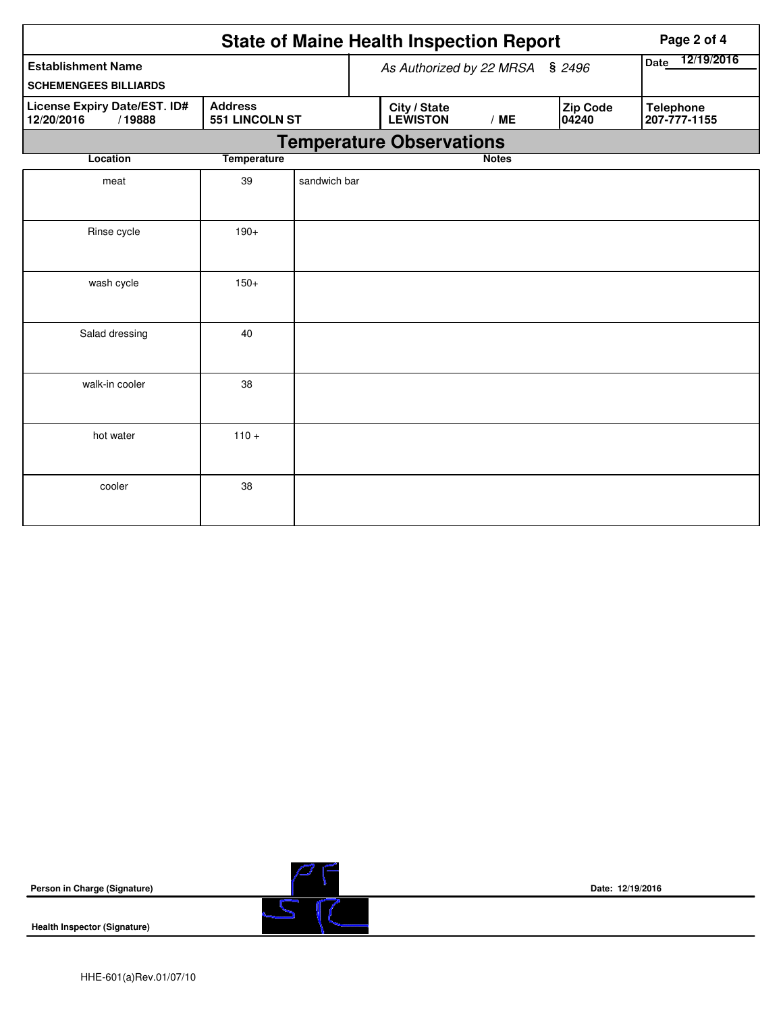|                                                                                          | Page 2 of 4        |              |                          |                                 |              |                          |                                  |  |
|------------------------------------------------------------------------------------------|--------------------|--------------|--------------------------|---------------------------------|--------------|--------------------------|----------------------------------|--|
| <b>Establishment Name</b><br><b>SCHEMENGEES BILLIARDS</b>                                |                    |              | As Authorized by 22 MRSA | 12/19/2016<br><b>Date</b>       |              |                          |                                  |  |
| License Expiry Date/EST. ID#<br><b>Address</b><br>12/20/2016<br>/19888<br>551 LINCOLN ST |                    |              |                          | City / State<br><b>LEWISTON</b> | /ME          | <b>Zip Code</b><br>04240 | <b>Telephone</b><br>207-777-1155 |  |
| <b>Temperature Observations</b>                                                          |                    |              |                          |                                 |              |                          |                                  |  |
| Location                                                                                 | <b>Temperature</b> |              |                          |                                 | <b>Notes</b> |                          |                                  |  |
| meat                                                                                     | 39                 | sandwich bar |                          |                                 |              |                          |                                  |  |
| Rinse cycle                                                                              | $190+$             |              |                          |                                 |              |                          |                                  |  |
| wash cycle                                                                               | $150+$             |              |                          |                                 |              |                          |                                  |  |
| Salad dressing                                                                           | 40                 |              |                          |                                 |              |                          |                                  |  |
| walk-in cooler                                                                           | 38                 |              |                          |                                 |              |                          |                                  |  |
| hot water                                                                                | $110 +$            |              |                          |                                 |              |                          |                                  |  |
| cooler                                                                                   | 38                 |              |                          |                                 |              |                          |                                  |  |

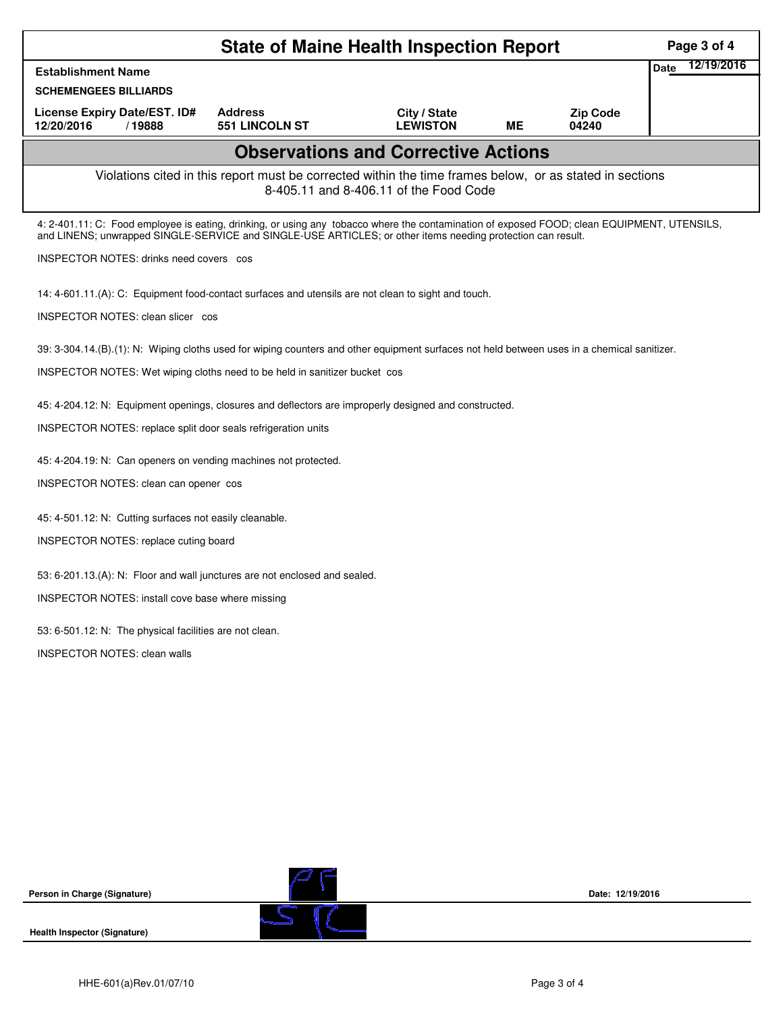|                                                                                                                                                                                                                                                            | <b>State of Maine Health Inspection Report</b>                                                           |                                            |    |                          | Page 3 of 4        |
|------------------------------------------------------------------------------------------------------------------------------------------------------------------------------------------------------------------------------------------------------------|----------------------------------------------------------------------------------------------------------|--------------------------------------------|----|--------------------------|--------------------|
| <b>Establishment Name</b>                                                                                                                                                                                                                                  |                                                                                                          |                                            |    |                          | 12/19/2016<br>Date |
| <b>SCHEMENGEES BILLIARDS</b>                                                                                                                                                                                                                               |                                                                                                          |                                            |    |                          |                    |
| License Expiry Date/EST. ID#<br>12/20/2016<br>/19888                                                                                                                                                                                                       | <b>Address</b><br><b>551 LINCOLN ST</b>                                                                  | City / State<br><b>LEWISTON</b>            | ME | <b>Zip Code</b><br>04240 |                    |
|                                                                                                                                                                                                                                                            |                                                                                                          | <b>Observations and Corrective Actions</b> |    |                          |                    |
|                                                                                                                                                                                                                                                            | Violations cited in this report must be corrected within the time frames below, or as stated in sections | 8-405.11 and 8-406.11 of the Food Code     |    |                          |                    |
| 4: 2-401.11: C: Food employee is eating, drinking, or using any tobacco where the contamination of exposed FOOD; clean EQUIPMENT, UTENSILS,<br>and LINENS; unwrapped SINGLE-SERVICE and SINGLE-USE ARTICLES; or other items needing protection can result. |                                                                                                          |                                            |    |                          |                    |
| INSPECTOR NOTES: drinks need covers cos                                                                                                                                                                                                                    |                                                                                                          |                                            |    |                          |                    |
| 14: 4-601.11.(A): C: Equipment food-contact surfaces and utensils are not clean to sight and touch.                                                                                                                                                        |                                                                                                          |                                            |    |                          |                    |
| INSPECTOR NOTES: clean slicer cos                                                                                                                                                                                                                          |                                                                                                          |                                            |    |                          |                    |
| 39: 3-304.14.(B).(1): N: Wiping cloths used for wiping counters and other equipment surfaces not held between uses in a chemical sanitizer.                                                                                                                |                                                                                                          |                                            |    |                          |                    |
| INSPECTOR NOTES: Wet wiping cloths need to be held in sanitizer bucket cos                                                                                                                                                                                 |                                                                                                          |                                            |    |                          |                    |
| 45: 4-204.12: N: Equipment openings, closures and deflectors are improperly designed and constructed.                                                                                                                                                      |                                                                                                          |                                            |    |                          |                    |
| INSPECTOR NOTES: replace split door seals refrigeration units                                                                                                                                                                                              |                                                                                                          |                                            |    |                          |                    |
| 45: 4-204.19: N: Can openers on vending machines not protected.                                                                                                                                                                                            |                                                                                                          |                                            |    |                          |                    |
| INSPECTOR NOTES: clean can opener cos                                                                                                                                                                                                                      |                                                                                                          |                                            |    |                          |                    |
| 45: 4-501.12: N: Cutting surfaces not easily cleanable.                                                                                                                                                                                                    |                                                                                                          |                                            |    |                          |                    |
| INSPECTOR NOTES: replace cuting board                                                                                                                                                                                                                      |                                                                                                          |                                            |    |                          |                    |
| 53: 6-201.13.(A): N: Floor and wall junctures are not enclosed and sealed.                                                                                                                                                                                 |                                                                                                          |                                            |    |                          |                    |
| INSPECTOR NOTES: install cove base where missing                                                                                                                                                                                                           |                                                                                                          |                                            |    |                          |                    |
| 53: 6-501.12: N: The physical facilities are not clean.                                                                                                                                                                                                    |                                                                                                          |                                            |    |                          |                    |
| <b>INSPECTOR NOTES: clean walls</b>                                                                                                                                                                                                                        |                                                                                                          |                                            |    |                          |                    |
|                                                                                                                                                                                                                                                            |                                                                                                          |                                            |    |                          |                    |
|                                                                                                                                                                                                                                                            |                                                                                                          |                                            |    |                          |                    |
|                                                                                                                                                                                                                                                            |                                                                                                          |                                            |    |                          |                    |
|                                                                                                                                                                                                                                                            |                                                                                                          |                                            |    |                          |                    |